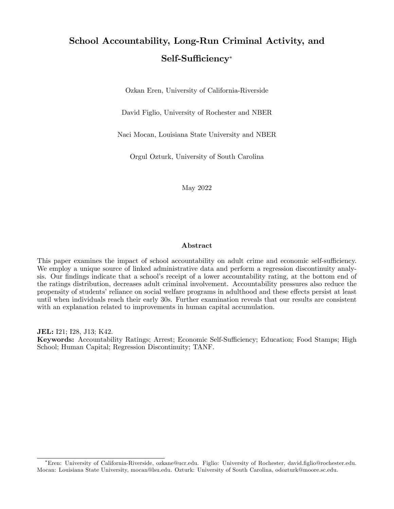# School Accountability, Long-Run Criminal Activity, and Self-Sufficiency\*

Ozkan Eren, University of California-Riverside

David Figlio, University of Rochester and NBER

Naci Mocan, Louisiana State University and NBER

Orgul Ozturk, University of South Carolina

May 2022

#### Abstract

This paper examines the impact of school accountability on adult crime and economic self-sufficiency. We employ a unique source of linked administrative data and perform a regression discontinuity analysis. Our findings indicate that a school's receipt of a lower accountability rating, at the bottom end of the ratings distribution, decreases adult criminal involvement. Accountability pressures also reduce the propensity of students' reliance on social welfare programs in adulthood and these effects persist at least until when individuals reach their early 30s. Further examination reveals that our results are consistent with an explanation related to improvements in human capital accumulation.

JEL: I21; I28, J13; K42.

Keywords: Accountability Ratings; Arrest; Economic Self-Sufficiency; Education; Food Stamps; High School; Human Capital; Regression Discontinuity; TANF.

Eren: University of California-Riverside, ozkane@ucr.edu. Figlio: University of Rochester, david.Öglio@rochester.edu. Mocan: Louisiana State University, mocan@lsu.edu. Ozturk: University of South Carolina, odozturk@moore.sc.edu.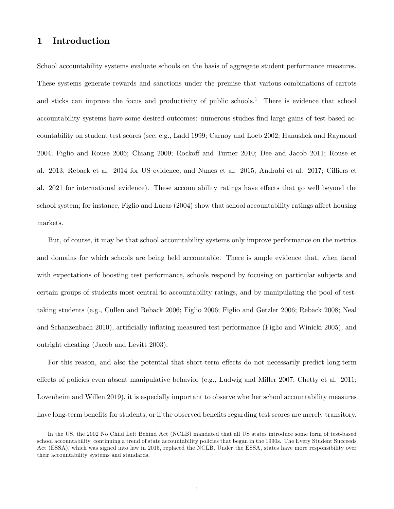# 1 Introduction

School accountability systems evaluate schools on the basis of aggregate student performance measures. These systems generate rewards and sanctions under the premise that various combinations of carrots and sticks can improve the focus and productivity of public schools.<sup>1</sup> There is evidence that school accountability systems have some desired outcomes: numerous studies find large gains of test-based accountability on student test scores (see, e.g., Ladd 1999; Carnoy and Loeb 2002; Hanushek and Raymond 2004; Figlio and Rouse 2006; Chiang 2009; Rockoff and Turner 2010; Dee and Jacob 2011; Rouse et al. 2013; Reback et al. 2014 for US evidence, and Nunes et al. 2015; Andrabi et al. 2017; Cilliers et al. 2021 for international evidence). These accountability ratings have effects that go well beyond the school system; for instance, Figlio and Lucas (2004) show that school accountability ratings affect housing markets.

But, of course, it may be that school accountability systems only improve performance on the metrics and domains for which schools are being held accountable. There is ample evidence that, when faced with expectations of boosting test performance, schools respond by focusing on particular subjects and certain groups of students most central to accountability ratings, and by manipulating the pool of testtaking students (e.g., Cullen and Reback 2006; Figlio 2006; Figlio and Getzler 2006; Reback 2008; Neal and Schanzenbach 2010), artificially inflating measured test performance (Figlio and Winicki 2005), and outright cheating (Jacob and Levitt 2003).

For this reason, and also the potential that short-term effects do not necessarily predict long-term effects of policies even absent manipulative behavior (e.g., Ludwig and Miller 2007; Chetty et al. 2011; Lovenheim and Willen 2019), it is especially important to observe whether school accountability measures have long-term benefits for students, or if the observed benefits regarding test scores are merely transitory.

<sup>&</sup>lt;sup>1</sup>In the US, the 2002 No Child Left Behind Act (NCLB) mandated that all US states introduce some form of test-based school accountability, continuing a trend of state accountability policies that began in the 1990s. The Every Student Succeeds Act (ESSA), which was signed into law in 2015, replaced the NCLB. Under the ESSA, states have more responsibility over their accountability systems and standards.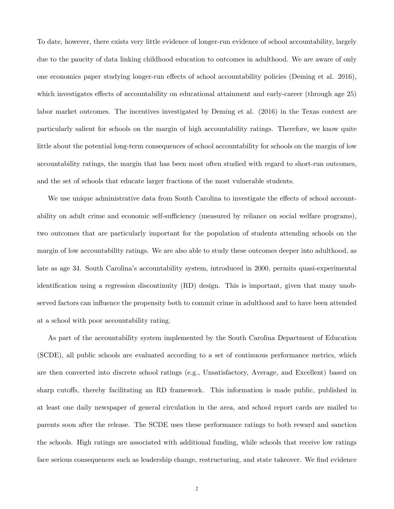To date, however, there exists very little evidence of longer-run evidence of school accountability, largely due to the paucity of data linking childhood education to outcomes in adulthood. We are aware of only one economics paper studying longer-run effects of school accountability policies (Deming et al. 2016), which investigates effects of accountability on educational attainment and early-career (through age 25) labor market outcomes. The incentives investigated by Deming et al. (2016) in the Texas context are particularly salient for schools on the margin of high accountability ratings. Therefore, we know quite little about the potential long-term consequences of school accountability for schools on the margin of low accountability ratings, the margin that has been most often studied with regard to short-run outcomes, and the set of schools that educate larger fractions of the most vulnerable students.

We use unique administrative data from South Carolina to investigate the effects of school accountability on adult crime and economic self-sufficiency (measured by reliance on social welfare programs), two outcomes that are particularly important for the population of students attending schools on the margin of low accountability ratings. We are also able to study these outcomes deeper into adulthood, as late as age 34. South Carolina's accountability system, introduced in 2000, permits quasi-experimental identification using a regression discontinuity (RD) design. This is important, given that many unobserved factors can influence the propensity both to commit crime in adulthood and to have been attended at a school with poor accountability rating.

As part of the accountability system implemented by the South Carolina Department of Education (SCDE), all public schools are evaluated according to a set of continuous performance metrics, which are then converted into discrete school ratings (e.g., Unsatisfactory, Average, and Excellent) based on sharp cutoffs, thereby facilitating an RD framework. This information is made public, published in at least one daily newspaper of general circulation in the area, and school report cards are mailed to parents soon after the release. The SCDE uses these performance ratings to both reward and sanction the schools. High ratings are associated with additional funding, while schools that receive low ratings face serious consequences such as leadership change, restructuring, and state takeover. We find evidence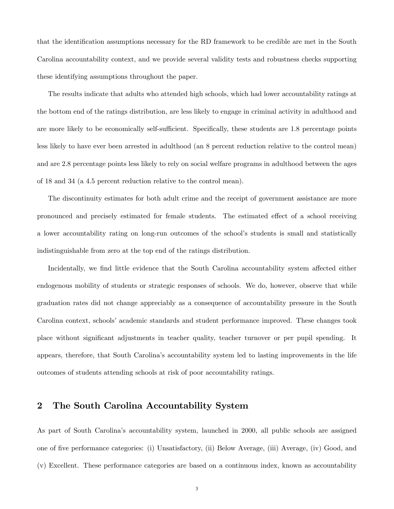that the identification assumptions necessary for the RD framework to be credible are met in the South Carolina accountability context, and we provide several validity tests and robustness checks supporting these identifying assumptions throughout the paper.

The results indicate that adults who attended high schools, which had lower accountability ratings at the bottom end of the ratings distribution, are less likely to engage in criminal activity in adulthood and are more likely to be economically self-sufficient. Specifically, these students are 1.8 percentage points less likely to have ever been arrested in adulthood (an 8 percent reduction relative to the control mean) and are 2.8 percentage points less likely to rely on social welfare programs in adulthood between the ages of 18 and 34 (a 4.5 percent reduction relative to the control mean).

The discontinuity estimates for both adult crime and the receipt of government assistance are more pronounced and precisely estimated for female students. The estimated effect of a school receiving a lower accountability rating on long-run outcomes of the school's students is small and statistically indistinguishable from zero at the top end of the ratings distribution.

Incidentally, we find little evidence that the South Carolina accountability system affected either endogenous mobility of students or strategic responses of schools. We do, however, observe that while graduation rates did not change appreciably as a consequence of accountability pressure in the South Carolina context, schools' academic standards and student performance improved. These changes took place without significant adjustments in teacher quality, teacher turnover or per pupil spending. It appears, therefore, that South Carolinaís accountability system led to lasting improvements in the life outcomes of students attending schools at risk of poor accountability ratings.

## 2 The South Carolina Accountability System

As part of South Carolina's accountability system, launched in 2000, all public schools are assigned one of Öve performance categories: (i) Unsatisfactory, (ii) Below Average, (iii) Average, (iv) Good, and (v) Excellent. These performance categories are based on a continuous index, known as accountability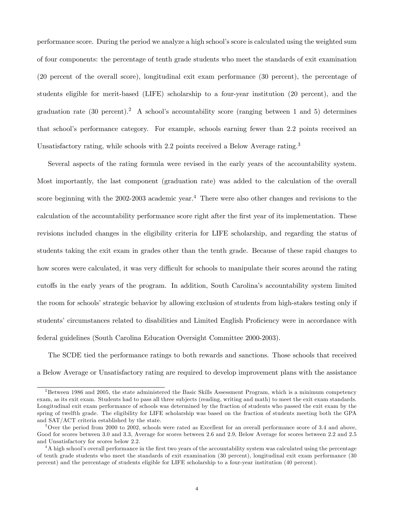performance score. During the period we analyze a high schoolís score is calculated using the weighted sum of four components: the percentage of tenth grade students who meet the standards of exit examination (20 percent of the overall score), longitudinal exit exam performance (30 percent), the percentage of students eligible for merit-based (LIFE) scholarship to a four-year institution (20 percent), and the graduation rate (30 percent).<sup>2</sup> A school's accountability score (ranging between 1 and 5) determines that schoolís performance category. For example, schools earning fewer than 2.2 points received an Unsatisfactory rating, while schools with 2.2 points received a Below Average rating.<sup>3</sup>

Several aspects of the rating formula were revised in the early years of the accountability system. Most importantly, the last component (graduation rate) was added to the calculation of the overall score beginning with the 2002-2003 academic year.<sup>4</sup> There were also other changes and revisions to the calculation of the accountability performance score right after the first year of its implementation. These revisions included changes in the eligibility criteria for LIFE scholarship, and regarding the status of students taking the exit exam in grades other than the tenth grade. Because of these rapid changes to how scores were calculated, it was very difficult for schools to manipulate their scores around the rating cutoffs in the early years of the program. In addition, South Carolina's accountability system limited the room for schools' strategic behavior by allowing exclusion of students from high-stakes testing only if students' circumstances related to disabilities and Limited English Proficiency were in accordance with federal guidelines (South Carolina Education Oversight Committee 2000-2003).

The SCDE tied the performance ratings to both rewards and sanctions. Those schools that received a Below Average or Unsatisfactory rating are required to develop improvement plans with the assistance

 $2B$ etween 1986 and 2005, the state administered the Basic Skills Assessment Program, which is a minimum competency exam, as its exit exam. Students had to pass all three subjects (reading, writing and math) to meet the exit exam standards. Longitudinal exit exam performance of schools was determined by the fraction of students who passed the exit exam by the spring of twelfth grade. The eligibility for LIFE scholarship was based on the fraction of students meeting both the GPA and SAT/ACT criteria established by the state.

<sup>3</sup>Over the period from 2000 to 2002, schools were rated as Excellent for an overall performance score of 3.4 and above, Good for scores between 3.0 and 3.3, Average for scores between 2.6 and 2.9, Below Average for scores between 2.2 and 2.5 and Unsatisfactory for scores below 2.2.

<sup>&</sup>lt;sup>4</sup>A high school's overall performance in the first two years of the accountability system was calculated using the percentage of tenth grade students who meet the standards of exit examination (30 percent), longitudinal exit exam performance (30 percent) and the percentage of students eligible for LIFE scholarship to a four-year institution (40 percent).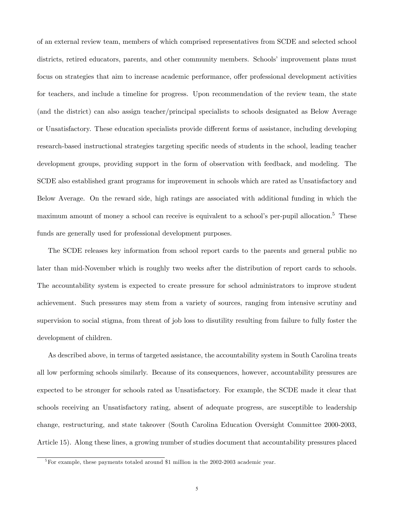of an external review team, members of which comprised representatives from SCDE and selected school districts, retired educators, parents, and other community members. Schools' improvement plans must focus on strategies that aim to increase academic performance, offer professional development activities for teachers, and include a timeline for progress. Upon recommendation of the review team, the state (and the district) can also assign teacher/principal specialists to schools designated as Below Average or Unsatisfactory. These education specialists provide different forms of assistance, including developing research-based instructional strategies targeting specific needs of students in the school, leading teacher development groups, providing support in the form of observation with feedback, and modeling. The SCDE also established grant programs for improvement in schools which are rated as Unsatisfactory and Below Average. On the reward side, high ratings are associated with additional funding in which the maximum amount of money a school can receive is equivalent to a school's per-pupil allocation.<sup>5</sup> These funds are generally used for professional development purposes.

The SCDE releases key information from school report cards to the parents and general public no later than mid-November which is roughly two weeks after the distribution of report cards to schools. The accountability system is expected to create pressure for school administrators to improve student achievement. Such pressures may stem from a variety of sources, ranging from intensive scrutiny and supervision to social stigma, from threat of job loss to disutility resulting from failure to fully foster the development of children.

As described above, in terms of targeted assistance, the accountability system in South Carolina treats all low performing schools similarly. Because of its consequences, however, accountability pressures are expected to be stronger for schools rated as Unsatisfactory. For example, the SCDE made it clear that schools receiving an Unsatisfactory rating, absent of adequate progress, are susceptible to leadership change, restructuring, and state takeover (South Carolina Education Oversight Committee 2000-2003, Article 15). Along these lines, a growing number of studies document that accountability pressures placed

<sup>&</sup>lt;sup>5</sup>For example, these payments totaled around \$1 million in the 2002-2003 academic year.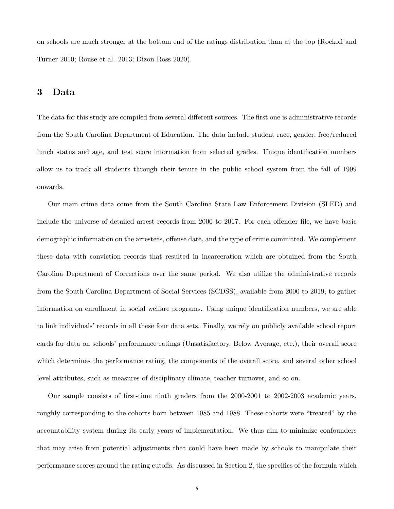on schools are much stronger at the bottom end of the ratings distribution than at the top (Rockoff and Turner 2010; Rouse et al. 2013; Dizon-Ross 2020).

# 3 Data

The data for this study are compiled from several different sources. The first one is administrative records from the South Carolina Department of Education. The data include student race, gender, free/reduced lunch status and age, and test score information from selected grades. Unique identification numbers allow us to track all students through their tenure in the public school system from the fall of 1999 onwards.

Our main crime data come from the South Carolina State Law Enforcement Division (SLED) and include the universe of detailed arrest records from 2000 to 2017. For each offender file, we have basic demographic information on the arrestees, offense date, and the type of crime committed. We complement these data with conviction records that resulted in incarceration which are obtained from the South Carolina Department of Corrections over the same period. We also utilize the administrative records from the South Carolina Department of Social Services (SCDSS), available from 2000 to 2019, to gather information on enrollment in social welfare programs. Using unique identification numbers, we are able to link individuals' records in all these four data sets. Finally, we rely on publicly available school report cards for data on schools' performance ratings (Unsatisfactory, Below Average, etc.), their overall score which determines the performance rating, the components of the overall score, and several other school level attributes, such as measures of disciplinary climate, teacher turnover, and so on.

Our sample consists of Örst-time ninth graders from the 2000-2001 to 2002-2003 academic years, roughly corresponding to the cohorts born between 1985 and 1988. These cohorts were "treated" by the accountability system during its early years of implementation. We thus aim to minimize confounders that may arise from potential adjustments that could have been made by schools to manipulate their performance scores around the rating cutoffs. As discussed in Section 2, the specifics of the formula which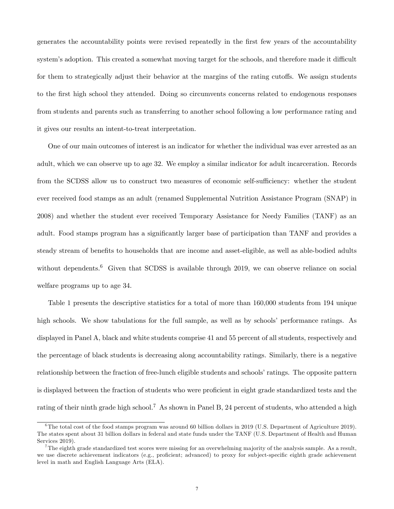generates the accountability points were revised repeatedly in the first few years of the accountability system's adoption. This created a somewhat moving target for the schools, and therefore made it difficult for them to strategically adjust their behavior at the margins of the rating cutoffs. We assign students to the first high school they attended. Doing so circumvents concerns related to endogenous responses from students and parents such as transferring to another school following a low performance rating and it gives our results an intent-to-treat interpretation.

One of our main outcomes of interest is an indicator for whether the individual was ever arrested as an adult, which we can observe up to age 32. We employ a similar indicator for adult incarceration. Records from the SCDSS allow us to construct two measures of economic self-sufficiency: whether the student ever received food stamps as an adult (renamed Supplemental Nutrition Assistance Program (SNAP) in 2008) and whether the student ever received Temporary Assistance for Needy Families (TANF) as an adult. Food stamps program has a significantly larger base of participation than TANF and provides a steady stream of benefits to households that are income and asset-eligible, as well as able-bodied adults without dependents.<sup>6</sup> Given that SCDSS is available through 2019, we can observe reliance on social welfare programs up to age 34.

Table 1 presents the descriptive statistics for a total of more than 160,000 students from 194 unique high schools. We show tabulations for the full sample, as well as by schools' performance ratings. As displayed in Panel A, black and white students comprise 41 and 55 percent of all students, respectively and the percentage of black students is decreasing along accountability ratings. Similarly, there is a negative relationship between the fraction of free-lunch eligible students and schools' ratings. The opposite pattern is displayed between the fraction of students who were proficient in eight grade standardized tests and the rating of their ninth grade high school.<sup>7</sup> As shown in Panel B, 24 percent of students, who attended a high

<sup>&</sup>lt;sup>6</sup>The total cost of the food stamps program was around 60 billion dollars in 2019 (U.S. Department of Agriculture 2019). The states spent about 31 billion dollars in federal and state funds under the TANF (U.S. Department of Health and Human Services 2019).

<sup>&</sup>lt;sup>7</sup>The eighth grade standardized test scores were missing for an overwhelming majority of the analysis sample. As a result, we use discrete achievement indicators (e.g., proficient; advanced) to proxy for subject-specific eighth grade achievement level in math and English Language Arts (ELA).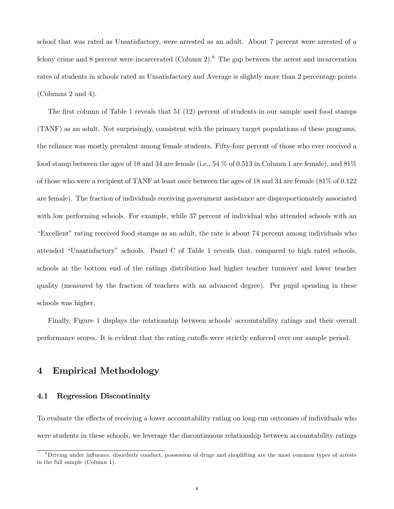school that was rated as Unsatisfactory, were arrested as an adult. About 7 percent were arrested of a felony crime and 8 percent were incarcerated (Column 2).<sup>8</sup> The gap between the arrest and incarceration rates of students in schools rated as Unsatisfactory and Average is slightly more than 2 percentage points (Columns 2 and 4).

The first column of Table 1 reveals that  $51$  (12) percent of students in our sample used food stamps (TANF) as an adult. Not surprisingly, consistent with the primary target populations of these programs, the reliance was mostly prevalent among female students. Fifty-four percent of those who ever received a food stamp between the ages of 18 and 34 are female (i.e.,  $54\%$  of 0.513 in Column 1 are female), and  $81\%$ of those who were a recipient of TANF at least once between the ages of 18 and 34 are female (81% of 0.122 are female). The fraction of individuals receiving government assistance are disproportionately associated with low performing schools. For example, while 37 percent of individual who attended schools with an ìExcellentîrating received food stamps as an adult, the rate is about 74 percent among individuals who attended "Unsatisfactory" schools. Panel C of Table 1 reveals that, compared to high rated schools, schools at the bottom end of the ratings distribution had higher teacher turnover and lower teacher quality (measured by the fraction of teachers with an advanced degree). Per pupil spending in these schools was higher.

Finally, Figure 1 displays the relationship between schools' accountability ratings and their overall performance scores. It is evident that the rating cutoffs were strictly enforced over our sample period.

# 4 Empirical Methodology

### 4.1 Regression Discontinuity

To evaluate the effects of receiving a lower accountability rating on long-run outcomes of individuals who were students in these schools, we leverage the discontinuous relationship between accountability ratings

<sup>&</sup>lt;sup>8</sup>Driving under influence, disorderly conduct, possession of drugs and shoplifting are the most common types of arrests in the full sample (Column 1).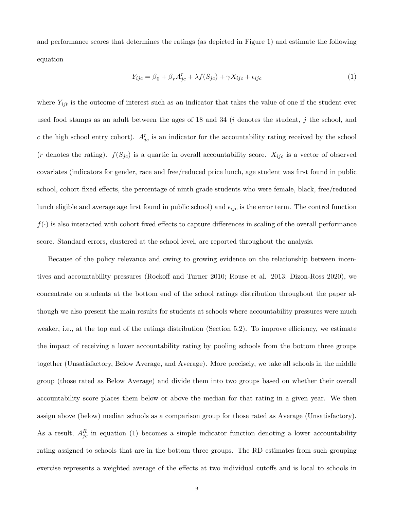and performance scores that determines the ratings (as depicted in Figure 1) and estimate the following equation

$$
Y_{ijc} = \beta_0 + \beta_r A_{jc}^r + \lambda f(S_{jc}) + \gamma X_{ijc} + \epsilon_{ijc}
$$
\n<sup>(1)</sup>

where  $Y_{ijt}$  is the outcome of interest such as an indicator that takes the value of one if the student ever used food stamps as an adult between the ages of 18 and 34 ( $i$  denotes the student,  $j$  the school, and c the high school entry cohort).  $A_{jc}^r$  is an indicator for the accountability rating received by the school (r denotes the rating).  $f(S_{jc})$  is a quartic in overall accountability score.  $X_{ijc}$  is a vector of observed covariates (indicators for gender, race and free/reduced price lunch, age student was first found in public school, cohort fixed effects, the percentage of ninth grade students who were female, black, free/reduced lunch eligible and average age first found in public school) and  $\epsilon_{ijc}$  is the error term. The control function  $f(\cdot)$  is also interacted with cohort fixed effects to capture differences in scaling of the overall performance score. Standard errors, clustered at the school level, are reported throughout the analysis.

Because of the policy relevance and owing to growing evidence on the relationship between incentives and accountability pressures (Rockoff and Turner 2010; Rouse et al. 2013; Dizon-Ross 2020), we concentrate on students at the bottom end of the school ratings distribution throughout the paper although we also present the main results for students at schools where accountability pressures were much weaker, i.e., at the top end of the ratings distribution (Section  $5.2$ ). To improve efficiency, we estimate the impact of receiving a lower accountability rating by pooling schools from the bottom three groups together (Unsatisfactory, Below Average, and Average). More precisely, we take all schools in the middle group (those rated as Below Average) and divide them into two groups based on whether their overall accountability score places them below or above the median for that rating in a given year. We then assign above (below) median schools as a comparison group for those rated as Average (Unsatisfactory). As a result,  $A_{jc}^R$  in equation (1) becomes a simple indicator function denoting a lower accountability rating assigned to schools that are in the bottom three groups. The RD estimates from such grouping exercise represents a weighted average of the effects at two individual cutoffs and is local to schools in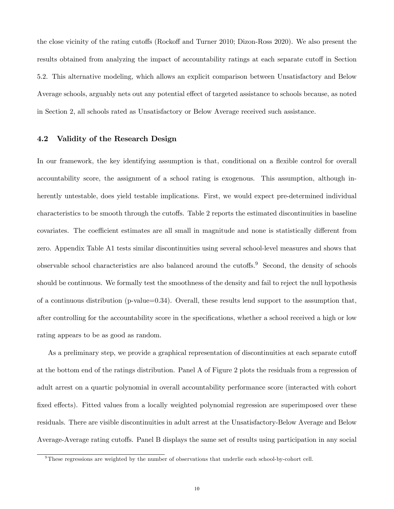the close vicinity of the rating cutoffs (Rockoff and Turner 2010; Dizon-Ross 2020). We also present the results obtained from analyzing the impact of accountability ratings at each separate cutoff in Section 5.2. This alternative modeling, which allows an explicit comparison between Unsatisfactory and Below Average schools, arguably nets out any potential effect of targeted assistance to schools because, as noted in Section 2, all schools rated as Unsatisfactory or Below Average received such assistance.

#### 4.2 Validity of the Research Design

In our framework, the key identifying assumption is that, conditional on a flexible control for overall accountability score, the assignment of a school rating is exogenous. This assumption, although inherently untestable, does yield testable implications. First, we would expect pre-determined individual characteristics to be smooth through the cutoffs. Table 2 reports the estimated discontinuities in baseline covariates. The coefficient estimates are all small in magnitude and none is statistically different from zero. Appendix Table A1 tests similar discontinuities using several school-level measures and shows that observable school characteristics are also balanced around the cutoffs.<sup>9</sup> Second, the density of schools should be continuous. We formally test the smoothness of the density and fail to reject the null hypothesis of a continuous distribution (p-value=0.34). Overall, these results lend support to the assumption that, after controlling for the accountability score in the specifications, whether a school received a high or low rating appears to be as good as random.

As a preliminary step, we provide a graphical representation of discontinuities at each separate cutoff at the bottom end of the ratings distribution. Panel A of Figure 2 plots the residuals from a regression of adult arrest on a quartic polynomial in overall accountability performance score (interacted with cohort fixed effects). Fitted values from a locally weighted polynomial regression are superimposed over these residuals. There are visible discontinuities in adult arrest at the Unsatisfactory-Below Average and Below Average-Average rating cutoffs. Panel B displays the same set of results using participation in any social

<sup>9</sup>These regressions are weighted by the number of observations that underlie each school-by-cohort cell.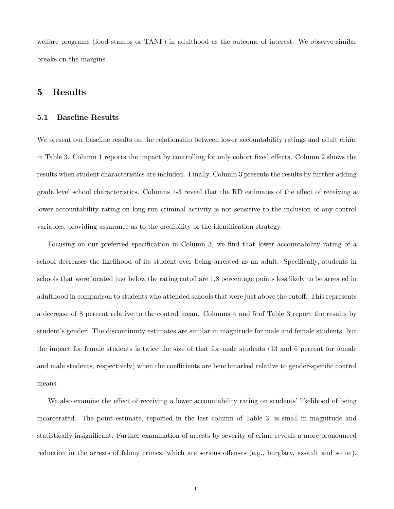welfare programs (food stamps or TANF) in adulthood as the outcome of interest. We observe similar breaks on the margins.

# 5 Results

#### 5.1 Baseline Results

We present our baseline results on the relationship between lower accountability ratings and adult crime in Table 3. Column 1 reports the impact by controlling for only cohort fixed effects. Column 2 shows the results when student characteristics are included. Finally, Column 3 presents the results by further adding grade level school characteristics. Columns 1-3 reveal that the RD estimates of the effect of receiving a lower accountability rating on long-run criminal activity is not sensitive to the inclusion of any control variables, providing assurance as to the credibility of the identification strategy.

Focusing on our preferred specification in Column 3, we find that lower accountability rating of a school decreases the likelihood of its student ever being arrested as an adult. Specifically, students in schools that were located just below the rating cutoff are 1.8 percentage points less likely to be arrested in adulthood in comparison to students who attended schools that were just above the cutoff. This represents a decrease of 8 percent relative to the control mean. Columns 4 and 5 of Table 3 report the results by student's gender. The discontinuity estimates are similar in magnitude for male and female students, but the impact for female students is twice the size of that for male students (13 and 6 percent for female and male students, respectively) when the coefficients are benchmarked relative to gender-specific control means.

We also examine the effect of receiving a lower accountability rating on students' likelihood of being incarcerated. The point estimate, reported in the last column of Table 3, is small in magnitude and statistically insignificant. Further examination of arrests by severity of crime reveals a more pronounced reduction in the arrests of felony crimes, which are serious offenses (e.g., burglary, assault and so on).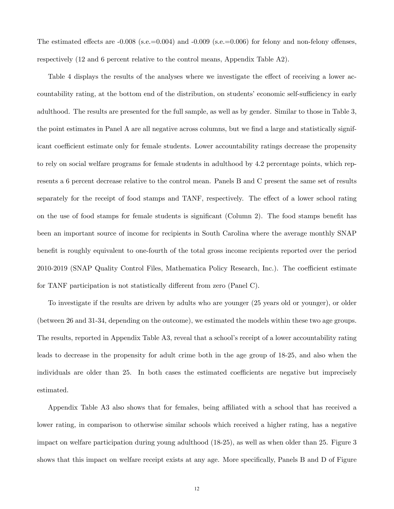The estimated effects are  $-0.008$  (s.e.=0.004) and  $-0.009$  (s.e.=0.006) for felony and non-felony offenses, respectively (12 and 6 percent relative to the control means, Appendix Table A2).

Table 4 displays the results of the analyses where we investigate the effect of receiving a lower accountability rating, at the bottom end of the distribution, on students' economic self-sufficiency in early adulthood. The results are presented for the full sample, as well as by gender. Similar to those in Table 3, the point estimates in Panel A are all negative across columns, but we find a large and statistically significant coefficient estimate only for female students. Lower accountability ratings decrease the propensity to rely on social welfare programs for female students in adulthood by 4.2 percentage points, which represents a 6 percent decrease relative to the control mean. Panels B and C present the same set of results separately for the receipt of food stamps and TANF, respectively. The effect of a lower school rating on the use of food stamps for female students is significant (Column 2). The food stamps benefit has been an important source of income for recipients in South Carolina where the average monthly SNAP benefit is roughly equivalent to one-fourth of the total gross income recipients reported over the period 2010-2019 (SNAP Quality Control Files, Mathematica Policy Research, Inc.). The coefficient estimate for TANF participation is not statistically different from zero (Panel C).

To investigate if the results are driven by adults who are younger (25 years old or younger), or older (between 26 and 31-34, depending on the outcome), we estimated the models within these two age groups. The results, reported in Appendix Table A3, reveal that a school's receipt of a lower accountability rating leads to decrease in the propensity for adult crime both in the age group of 18-25, and also when the individuals are older than 25. In both cases the estimated coefficients are negative but imprecisely estimated.

Appendix Table A3 also shows that for females, being affiliated with a school that has received a lower rating, in comparison to otherwise similar schools which received a higher rating, has a negative impact on welfare participation during young adulthood (18-25), as well as when older than 25. Figure 3 shows that this impact on welfare receipt exists at any age. More specifically, Panels B and D of Figure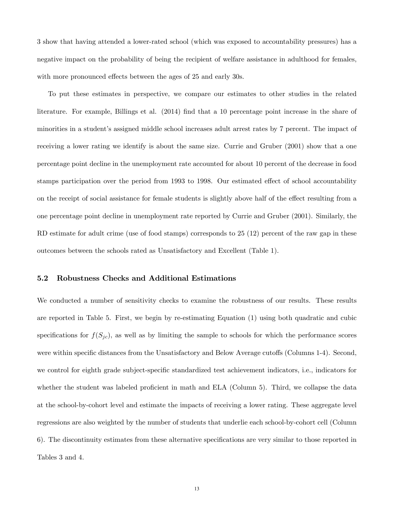3 show that having attended a lower-rated school (which was exposed to accountability pressures) has a negative impact on the probability of being the recipient of welfare assistance in adulthood for females, with more pronounced effects between the ages of 25 and early 30s.

To put these estimates in perspective, we compare our estimates to other studies in the related literature. For example, Billings et al. (2014) find that a 10 percentage point increase in the share of minorities in a student's assigned middle school increases adult arrest rates by 7 percent. The impact of receiving a lower rating we identify is about the same size. Currie and Gruber (2001) show that a one percentage point decline in the unemployment rate accounted for about 10 percent of the decrease in food stamps participation over the period from 1993 to 1998. Our estimated effect of school accountability on the receipt of social assistance for female students is slightly above half of the effect resulting from a one percentage point decline in unemployment rate reported by Currie and Gruber (2001). Similarly, the RD estimate for adult crime (use of food stamps) corresponds to 25 (12) percent of the raw gap in these outcomes between the schools rated as Unsatisfactory and Excellent (Table 1).

#### 5.2 Robustness Checks and Additional Estimations

We conducted a number of sensitivity checks to examine the robustness of our results. These results are reported in Table 5. First, we begin by re-estimating Equation (1) using both quadratic and cubic specifications for  $f(S_{jc})$ , as well as by limiting the sample to schools for which the performance scores were within specific distances from the Unsatisfactory and Below Average cutoffs (Columns 1-4). Second, we control for eighth grade subject-specific standardized test achievement indicators, i.e., indicators for whether the student was labeled proficient in math and ELA (Column 5). Third, we collapse the data at the school-by-cohort level and estimate the impacts of receiving a lower rating. These aggregate level regressions are also weighted by the number of students that underlie each school-by-cohort cell (Column 6). The discontinuity estimates from these alternative specifications are very similar to those reported in Tables 3 and 4.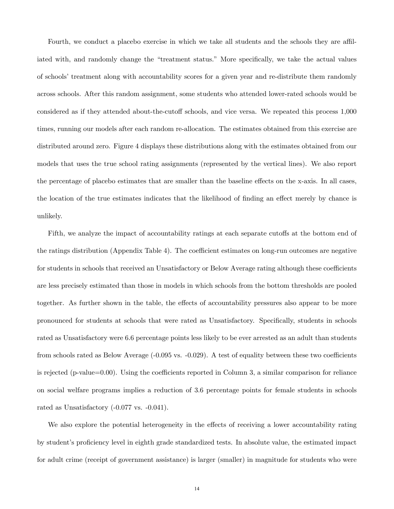Fourth, we conduct a placebo exercise in which we take all students and the schools they are affiliated with, and randomly change the "treatment status." More specifically, we take the actual values of schools' treatment along with accountability scores for a given year and re-distribute them randomly across schools. After this random assignment, some students who attended lower-rated schools would be considered as if they attended about-the-cutoff schools, and vice versa. We repeated this process 1,000 times, running our models after each random re-allocation. The estimates obtained from this exercise are distributed around zero. Figure 4 displays these distributions along with the estimates obtained from our models that uses the true school rating assignments (represented by the vertical lines). We also report the percentage of placebo estimates that are smaller than the baseline effects on the x-axis. In all cases, the location of the true estimates indicates that the likelihood of finding an effect merely by chance is unlikely.

Fifth, we analyze the impact of accountability ratings at each separate cutoffs at the bottom end of the ratings distribution (Appendix Table 4). The coefficient estimates on long-run outcomes are negative for students in schools that received an Unsatisfactory or Below Average rating although these coefficients are less precisely estimated than those in models in which schools from the bottom thresholds are pooled together. As further shown in the table, the effects of accountability pressures also appear to be more pronounced for students at schools that were rated as Unsatisfactory. SpeciÖcally, students in schools rated as Unsatisfactory were 6.6 percentage points less likely to be ever arrested as an adult than students from schools rated as Below Average  $(-0.095 \text{ vs. } -0.029)$ . A test of equality between these two coefficients is rejected (p-value=0.00). Using the coefficients reported in Column 3, a similar comparison for reliance on social welfare programs implies a reduction of 3.6 percentage points for female students in schools rated as Unsatisfactory (-0.077 vs. -0.041).

We also explore the potential heterogeneity in the effects of receiving a lower accountability rating by student's proficiency level in eighth grade standardized tests. In absolute value, the estimated impact for adult crime (receipt of government assistance) is larger (smaller) in magnitude for students who were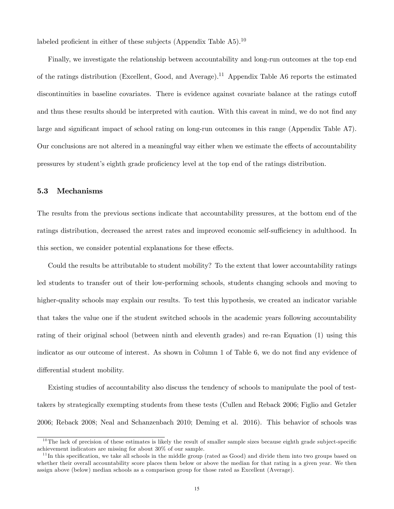labeled proficient in either of these subjects (Appendix Table  $A5$ ).<sup>10</sup>

Finally, we investigate the relationship between accountability and long-run outcomes at the top end of the ratings distribution (Excellent, Good, and Average).<sup>11</sup> Appendix Table A6 reports the estimated discontinuities in baseline covariates. There is evidence against covariate balance at the ratings cutoff and thus these results should be interpreted with caution. With this caveat in mind, we do not find any large and significant impact of school rating on long-run outcomes in this range (Appendix Table A7). Our conclusions are not altered in a meaningful way either when we estimate the effects of accountability pressures by student's eighth grade proficiency level at the top end of the ratings distribution.

#### 5.3 Mechanisms

The results from the previous sections indicate that accountability pressures, at the bottom end of the ratings distribution, decreased the arrest rates and improved economic self-sufficiency in adulthood. In this section, we consider potential explanations for these effects.

Could the results be attributable to student mobility? To the extent that lower accountability ratings led students to transfer out of their low-performing schools, students changing schools and moving to higher-quality schools may explain our results. To test this hypothesis, we created an indicator variable that takes the value one if the student switched schools in the academic years following accountability rating of their original school (between ninth and eleventh grades) and re-ran Equation (1) using this indicator as our outcome of interest. As shown in Column 1 of Table 6, we do not find any evidence of differential student mobility.

Existing studies of accountability also discuss the tendency of schools to manipulate the pool of testtakers by strategically exempting students from these tests (Cullen and Reback 2006; Figlio and Getzler 2006; Reback 2008; Neal and Schanzenbach 2010; Deming et al. 2016). This behavior of schools was

 $10$ The lack of precision of these estimates is likely the result of smaller sample sizes because eighth grade subject-specific achievement indicators are missing for about 30% of our sample.

 $11$ In this specification, we take all schools in the middle group (rated as Good) and divide them into two groups based on whether their overall accountability score places them below or above the median for that rating in a given year. We then assign above (below) median schools as a comparison group for those rated as Excellent (Average).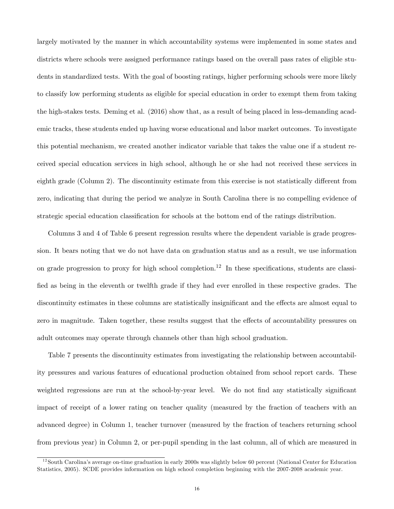largely motivated by the manner in which accountability systems were implemented in some states and districts where schools were assigned performance ratings based on the overall pass rates of eligible students in standardized tests. With the goal of boosting ratings, higher performing schools were more likely to classify low performing students as eligible for special education in order to exempt them from taking the high-stakes tests. Deming et al. (2016) show that, as a result of being placed in less-demanding academic tracks, these students ended up having worse educational and labor market outcomes. To investigate this potential mechanism, we created another indicator variable that takes the value one if a student received special education services in high school, although he or she had not received these services in eighth grade (Column 2). The discontinuity estimate from this exercise is not statistically different from zero, indicating that during the period we analyze in South Carolina there is no compelling evidence of strategic special education classification for schools at the bottom end of the ratings distribution.

Columns 3 and 4 of Table 6 present regression results where the dependent variable is grade progression. It bears noting that we do not have data on graduation status and as a result, we use information on grade progression to proxy for high school completion.<sup>12</sup> In these specifications, students are classified as being in the eleventh or twelfth grade if they had ever enrolled in these respective grades. The discontinuity estimates in these columns are statistically insignificant and the effects are almost equal to zero in magnitude. Taken together, these results suggest that the effects of accountability pressures on adult outcomes may operate through channels other than high school graduation.

Table 7 presents the discontinuity estimates from investigating the relationship between accountability pressures and various features of educational production obtained from school report cards. These weighted regressions are run at the school-by-year level. We do not find any statistically significant impact of receipt of a lower rating on teacher quality (measured by the fraction of teachers with an advanced degree) in Column 1, teacher turnover (measured by the fraction of teachers returning school from previous year) in Column 2, or per-pupil spending in the last column, all of which are measured in

 $12$  South Carolina's average on-time graduation in early 2000s was slightly below 60 percent (National Center for Education Statistics, 2005). SCDE provides information on high school completion beginning with the 2007-2008 academic year.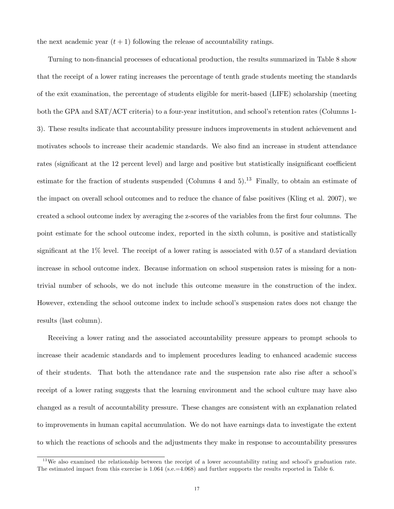the next academic year  $(t + 1)$  following the release of accountability ratings.

Turning to non-Önancial processes of educational production, the results summarized in Table 8 show that the receipt of a lower rating increases the percentage of tenth grade students meeting the standards of the exit examination, the percentage of students eligible for merit-based (LIFE) scholarship (meeting both the GPA and SAT/ACT criteria) to a four-year institution, and school's retention rates (Columns 1-3). These results indicate that accountability pressure induces improvements in student achievement and motivates schools to increase their academic standards. We also find an increase in student attendance rates (significant at the 12 percent level) and large and positive but statistically insignificant coefficient estimate for the fraction of students suspended (Columns 4 and  $5$ ).<sup>13</sup> Finally, to obtain an estimate of the impact on overall school outcomes and to reduce the chance of false positives (Kling et al. 2007), we created a school outcome index by averaging the z-scores of the variables from the first four columns. The point estimate for the school outcome index, reported in the sixth column, is positive and statistically significant at the  $1\%$  level. The receipt of a lower rating is associated with 0.57 of a standard deviation increase in school outcome index. Because information on school suspension rates is missing for a nontrivial number of schools, we do not include this outcome measure in the construction of the index. However, extending the school outcome index to include school's suspension rates does not change the results (last column).

Receiving a lower rating and the associated accountability pressure appears to prompt schools to increase their academic standards and to implement procedures leading to enhanced academic success of their students. That both the attendance rate and the suspension rate also rise after a schoolís receipt of a lower rating suggests that the learning environment and the school culture may have also changed as a result of accountability pressure. These changes are consistent with an explanation related to improvements in human capital accumulation. We do not have earnings data to investigate the extent to which the reactions of schools and the adjustments they make in response to accountability pressures

 $13$ We also examined the relationship between the receipt of a lower accountability rating and school's graduation rate. The estimated impact from this exercise is 1.064 (s.e.=4.068) and further supports the results reported in Table 6.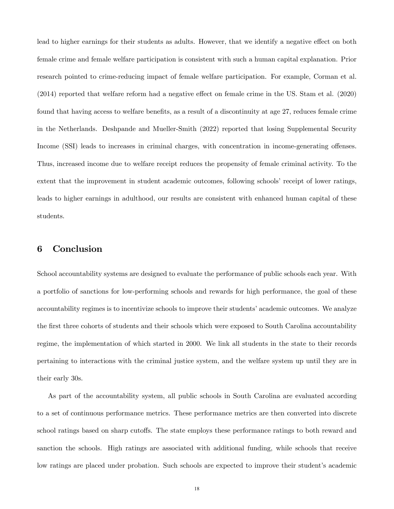lead to higher earnings for their students as adults. However, that we identify a negative effect on both female crime and female welfare participation is consistent with such a human capital explanation. Prior research pointed to crime-reducing impact of female welfare participation. For example, Corman et al.  $(2014)$  reported that welfare reform had a negative effect on female crime in the US. Stam et al.  $(2020)$ found that having access to welfare benefits, as a result of a discontinuity at age 27, reduces female crime in the Netherlands. Deshpande and Mueller-Smith (2022) reported that losing Supplemental Security Income (SSI) leads to increases in criminal charges, with concentration in income-generating offenses. Thus, increased income due to welfare receipt reduces the propensity of female criminal activity. To the extent that the improvement in student academic outcomes, following schools' receipt of lower ratings, leads to higher earnings in adulthood, our results are consistent with enhanced human capital of these students.

# 6 Conclusion

School accountability systems are designed to evaluate the performance of public schools each year. With a portfolio of sanctions for low-performing schools and rewards for high performance, the goal of these accountability regimes is to incentivize schools to improve their students' academic outcomes. We analyze the first three cohorts of students and their schools which were exposed to South Carolina accountability regime, the implementation of which started in 2000. We link all students in the state to their records pertaining to interactions with the criminal justice system, and the welfare system up until they are in their early 30s.

As part of the accountability system, all public schools in South Carolina are evaluated according to a set of continuous performance metrics. These performance metrics are then converted into discrete school ratings based on sharp cutoffs. The state employs these performance ratings to both reward and sanction the schools. High ratings are associated with additional funding, while schools that receive low ratings are placed under probation. Such schools are expected to improve their student's academic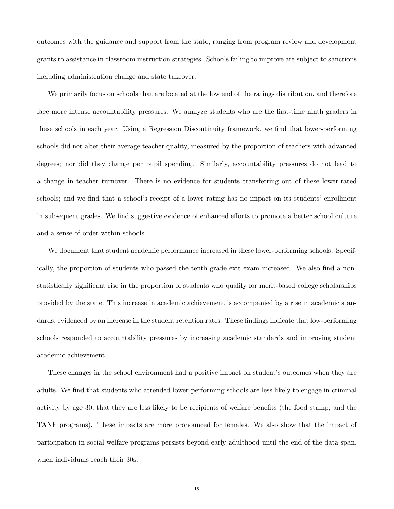outcomes with the guidance and support from the state, ranging from program review and development grants to assistance in classroom instruction strategies. Schools failing to improve are subject to sanctions including administration change and state takeover.

We primarily focus on schools that are located at the low end of the ratings distribution, and therefore face more intense accountability pressures. We analyze students who are the first-time ninth graders in these schools in each year. Using a Regression Discontinuity framework, we find that lower-performing schools did not alter their average teacher quality, measured by the proportion of teachers with advanced degrees; nor did they change per pupil spending. Similarly, accountability pressures do not lead to a change in teacher turnover. There is no evidence for students transferring out of these lower-rated schools; and we find that a school's receipt of a lower rating has no impact on its students' enrollment in subsequent grades. We find suggestive evidence of enhanced efforts to promote a better school culture and a sense of order within schools.

We document that student academic performance increased in these lower-performing schools. Specifically, the proportion of students who passed the tenth grade exit exam increased. We also find a nonstatistically significant rise in the proportion of students who qualify for merit-based college scholarships provided by the state. This increase in academic achievement is accompanied by a rise in academic standards, evidenced by an increase in the student retention rates. These findings indicate that low-performing schools responded to accountability pressures by increasing academic standards and improving student academic achievement.

These changes in the school environment had a positive impact on student's outcomes when they are adults. We find that students who attended lower-performing schools are less likely to engage in criminal activity by age 30, that they are less likely to be recipients of welfare benefits (the food stamp, and the TANF programs). These impacts are more pronounced for females. We also show that the impact of participation in social welfare programs persists beyond early adulthood until the end of the data span, when individuals reach their 30s.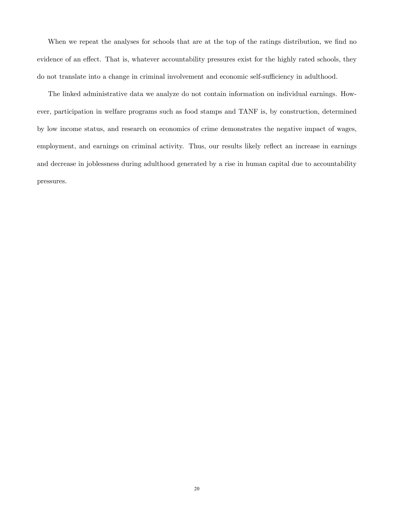When we repeat the analyses for schools that are at the top of the ratings distribution, we find no evidence of an effect. That is, whatever accountability pressures exist for the highly rated schools, they do not translate into a change in criminal involvement and economic self-sufficiency in adulthood.

The linked administrative data we analyze do not contain information on individual earnings. However, participation in welfare programs such as food stamps and TANF is, by construction, determined by low income status, and research on economics of crime demonstrates the negative impact of wages, employment, and earnings on criminal activity. Thus, our results likely reflect an increase in earnings and decrease in joblessness during adulthood generated by a rise in human capital due to accountability pressures.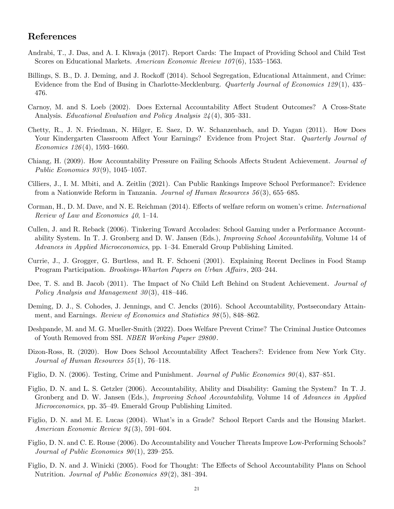# References

- Andrabi, T., J. Das, and A. I. Khwaja (2017). Report Cards: The Impact of Providing School and Child Test Scores on Educational Markets. American Economic Review  $107(6)$ , 1535–1563.
- Billings, S. B., D. J. Deming, and J. Rockoff (2014). School Segregation, Educational Attainment, and Crime: Evidence from the End of Busing in Charlotte-Mecklenburg. *Quarterly Journal of Economics 129*(1), 435 476.
- Carnoy, M. and S. Loeb (2002). Does External Accountability Affect Student Outcomes? A Cross-State Analysis. Educational Evaluation and Policy Analysis  $24(4)$ , 305–331.
- Chetty, R., J. N. Friedman, N. Hilger, E. Saez, D. W. Schanzenbach, and D. Yagan (2011). How Does Your Kindergarten Classroom Affect Your Earnings? Evidence from Project Star. Quarterly Journal of Economics  $126(4)$ , 1593-1660.
- Chiang, H. (2009). How Accountability Pressure on Failing Schools Affects Student Achievement. Journal of Public Economics  $93(9)$ , 1045-1057.
- Cilliers, J., I. M. Mbiti, and A. Zeitlin (2021). Can Public Rankings Improve School Performance?: Evidence from a Nationwide Reform in Tanzania. Journal of Human Resources  $56(3)$ , 655–685.
- Corman, H., D. M. Dave, and N. E. Reichman (2014). Effects of welfare reform on women's crime. International Review of Law and Economics  $40, 1-14$ .
- Cullen, J. and R. Reback (2006). Tinkering Toward Accolades: School Gaming under a Performance Accountability System. In T. J. Gronberg and D. W. Jansen (Eds.), Improving School Accountability, Volume 14 of Advances in Applied Microeconomics, pp. 1–34. Emerald Group Publishing Limited.
- Currie, J., J. Grogger, G. Burtless, and R. F. Schoeni (2001). Explaining Recent Declines in Food Stamp Program Participation. Brookings-Wharton Papers on Urban Affairs, 203–244.
- Dee, T. S. and B. Jacob (2011). The Impact of No Child Left Behind on Student Achievement. Journal of Policy Analysis and Management  $30(3)$ , 418–446.
- Deming, D. J., S. Cohodes, J. Jennings, and C. Jencks (2016). School Accountability, Postsecondary Attainment, and Earnings. Review of Economics and Statistics  $98(5)$ , 848–862.
- Deshpande, M. and M. G. Mueller-Smith (2022). Does Welfare Prevent Crime? The Criminal Justice Outcomes of Youth Removed from SSI. NBER Working Paper 29800 .
- Dizon-Ross, R. (2020). How Does School Accountability Affect Teachers?: Evidence from New York City. Journal of Human Resources  $55(1)$ , 76–118.
- Figlio, D. N. (2006). Testing, Crime and Punishment. Journal of Public Economics  $90(4)$ , 837–851.
- Figlio, D. N. and L. S. Getzler (2006). Accountability, Ability and Disability: Gaming the System? In T. J. Gronberg and D. W. Jansen (Eds.), *Improving School Accountability*, Volume 14 of Advances in Applied Microeconomics, pp. 35–49. Emerald Group Publishing Limited.
- Figlio, D. N. and M. E. Lucas (2004). What's in a Grade? School Report Cards and the Housing Market. American Economic Review  $94(3)$ , 591-604.
- Figlio, D. N. and C. E. Rouse (2006). Do Accountability and Voucher Threats Improve Low-Performing Schools? Journal of Public Economics  $90(1)$ , 239-255.
- Figlio, D. N. and J. Winicki (2005). Food for Thought: The Effects of School Accountability Plans on School Nutrition. Journal of Public Economics  $89(2)$ , 381–394.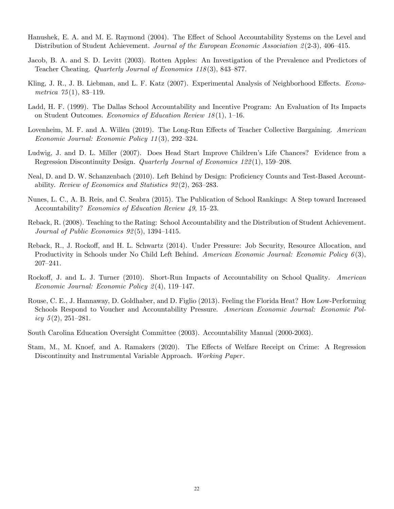- Hanushek, E. A. and M. E. Raymond (2004). The Effect of School Accountability Systems on the Level and Distribution of Student Achievement. Journal of the European Economic Association  $2(2-3)$ , 406–415.
- Jacob, B. A. and S. D. Levitt (2003). Rotten Apples: An Investigation of the Prevalence and Predictors of Teacher Cheating. Quarterly Journal of Economics  $118(3)$ ,  $843-877$ .
- Kling, J. R., J. B. Liebman, and L. F. Katz (2007). Experimental Analysis of Neighborhood Effects. Econometrica  $75(1)$ , 83-119.
- Ladd, H. F. (1999). The Dallas School Accountability and Incentive Program: An Evaluation of Its Impacts on Student Outcomes. Economics of Education Review  $18(1)$ , 1–16.
- Lovenheim, M. F. and A. Willén (2019). The Long-Run Effects of Teacher Collective Bargaining. American Economic Journal: Economic Policy  $11(3)$ , 292–324.
- Ludwig, J. and D. L. Miller (2007). Does Head Start Improve Children's Life Chances? Evidence from a Regression Discontinuity Design. Quarterly Journal of Economics  $122(1)$ , 159–208.
- Neal, D. and D. W. Schanzenbach (2010). Left Behind by Design: Proficiency Counts and Test-Based Accountability. Review of Economics and Statistics  $92(2)$ , 263–283.
- Nunes, L. C., A. B. Reis, and C. Seabra (2015). The Publication of School Rankings: A Step toward Increased Accountability? Economics of Education Review 49, 15-23.
- Reback, R. (2008). Teaching to the Rating: School Accountability and the Distribution of Student Achievement. Journal of Public Economics  $92(5)$ , 1394–1415.
- Reback, R., J. Rockoff, and H. L. Schwartz (2014). Under Pressure: Job Security, Resource Allocation, and Productivity in Schools under No Child Left Behind. American Economic Journal: Economic Policy 6(3),  $207 - 241.$
- Rockoff, J. and L. J. Turner (2010). Short-Run Impacts of Accountability on School Quality. American Economic Journal: Economic Policy  $2(4)$ , 119-147.
- Rouse, C. E., J. Hannaway, D. Goldhaber, and D. Figlio (2013). Feeling the Florida Heat? How Low-Performing Schools Respond to Voucher and Accountability Pressure. American Economic Journal: Economic Policy  $5(2)$ ,  $251-281$ .
- South Carolina Education Oversight Committee (2003). Accountability Manual (2000-2003).
- Stam, M., M. Knoef, and A. Ramakers (2020). The Effects of Welfare Receipt on Crime: A Regression Discontinuity and Instrumental Variable Approach. Working Paper.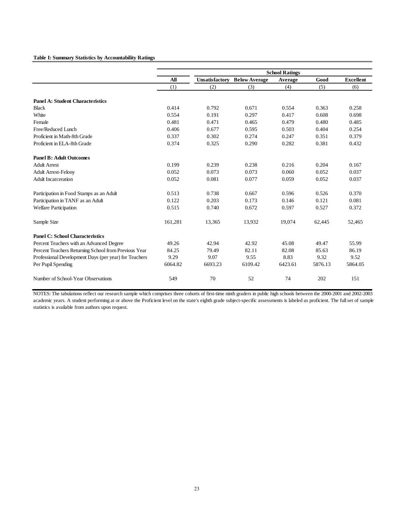#### **Table I: Summary Statistics by Accountability Ratings**

|                                                       |         |         |                                     | <b>School Ratings</b> |         |                  |
|-------------------------------------------------------|---------|---------|-------------------------------------|-----------------------|---------|------------------|
|                                                       | All     |         | <b>Unsatisfactory Below Average</b> | Average               | Good    | <b>Excellent</b> |
|                                                       | (1)     | (2)     | (3)                                 | (4)                   | (5)     | (6)              |
| <b>Panel A: Student Characteristics</b>               |         |         |                                     |                       |         |                  |
| <b>Black</b>                                          | 0.414   | 0.792   | 0.671                               | 0.554                 | 0.363   | 0.258            |
| White                                                 | 0.554   | 0.191   | 0.297                               | 0.417                 | 0.608   | 0.698            |
| Female                                                | 0.481   | 0.471   | 0.465                               | 0.479                 | 0.480   | 0.485            |
| Free/Reduced Lunch                                    | 0.406   | 0.677   | 0.595                               | 0.503                 | 0.404   | 0.254            |
| Proficient in Math-8th Grade                          | 0.337   | 0.302   | 0.274                               | 0.247                 | 0.351   | 0.379            |
| Proficient in ELA-8th Grade                           | 0.374   | 0.325   | 0.290                               | 0.282                 | 0.381   | 0.432            |
| <b>Panel B: Adult Outcomes</b>                        |         |         |                                     |                       |         |                  |
| <b>Adult Arrest</b>                                   | 0.199   | 0.239   | 0.238                               | 0.216                 | 0.204   | 0.167            |
| <b>Adult Arrest-Felony</b>                            | 0.052   | 0.073   | 0.073                               | 0.060                 | 0.052   | 0.037            |
| <b>Adult Incarceration</b>                            | 0.052   | 0.081   | 0.077                               | 0.059                 | 0.052   | 0.037            |
| Participation in Food Stamps as an Adult              | 0.513   | 0.738   | 0.667                               | 0.596                 | 0.526   | 0.370            |
| Participation in TANF as an Adult                     | 0.122   | 0.203   | 0.173                               | 0.146                 | 0.121   | 0.081            |
| <b>Welfare Participation</b>                          | 0.515   | 0.740   | 0.672                               | 0.597                 | 0.527   | 0.372            |
| Sample Size                                           | 161,281 | 13,365  | 13,932                              | 19,074                | 62,445  | 52,465           |
| <b>Panel C: School Characteristics</b>                |         |         |                                     |                       |         |                  |
| Percent Teachers with an Advanced Degree              | 49.26   | 42.94   | 42.92                               | 45.08                 | 49.47   | 55.99            |
| Percent Teachers Returning School from Previous Year  | 84.25   | 79.49   | 82.11                               | 82.08                 | 85.63   | 86.19            |
| Professional Development Days (per year) for Teachers | 9.29    | 9.07    | 9.55                                | 8.83                  | 9.32    | 9.52             |
| Per Pupil Spending                                    | 6064.82 | 6693.23 | 6109.42                             | 6423.61               | 5876.13 | 5864.05          |
| Number of School-Year Observations                    | 549     | 70      | 52                                  | 74                    | 202     | 151              |

NOTES: The tabulations reflect our research sample which comprises three cohorts of first-time ninth graders in public high schools between the 2000-2001 and 2002-2003 academic years. A student performing at or above the Proficient level on the state's eighth grade subject-specific assessments is labeled as proficient. The full set of sample statistics is available from authors upon request.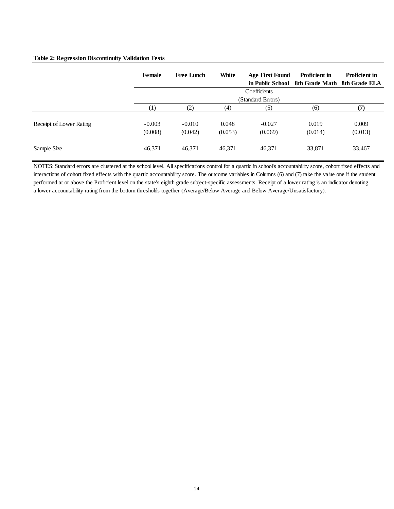#### **Table 2: Regression Discontinuity Validation Tests**

|                         | Female              | <b>Free Lunch</b>   | White            | <b>Age First Found</b> | <b>Proficient in</b>         | <b>Proficient in</b> |
|-------------------------|---------------------|---------------------|------------------|------------------------|------------------------------|----------------------|
|                         |                     |                     |                  | in Public School       | 8th Grade Math 8th Grade ELA |                      |
|                         |                     |                     |                  | Coefficients           |                              |                      |
|                         |                     |                     |                  | (Standard Errors)      |                              |                      |
|                         | (1)                 | (2)                 | (4)              | (5)                    | (6)                          | (7)                  |
| Receipt of Lower Rating | $-0.003$<br>(0.008) | $-0.010$<br>(0.042) | 0.048<br>(0.053) | $-0.027$<br>(0.069)    | 0.019<br>(0.014)             | 0.009<br>(0.013)     |
| Sample Size             | 46,371              | 46,371              | 46,371           | 46,371                 | 33,871                       | 33,467               |

NOTES: Standard errors are clustered at the school level. All specifications control for a quartic in school's accountability score, cohort fixed effects and interactions of cohort fixed effects with the quartic accountability score. The outcome variables in Columns (6) and (7) take the value one if the student performed at or above the Proficient level on the state's eighth grade subject-specific assessments. Receipt of a lower rating is an indicator denoting a lower accountability rating from the bottom thresholds together (Average/Below Average and Below Average/Unsatisfactory).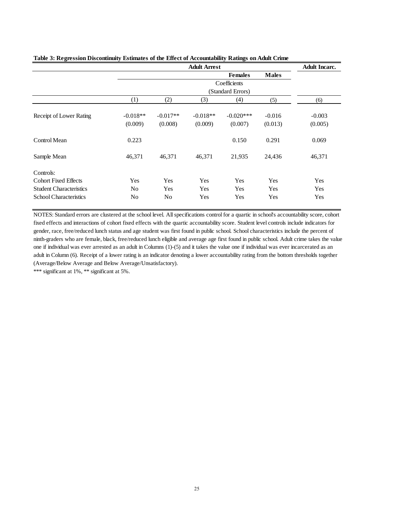|                                |                |                | <b>Adult Arrest</b> |                   |              | <b>Adult Incarc.</b> |
|--------------------------------|----------------|----------------|---------------------|-------------------|--------------|----------------------|
|                                |                |                |                     | <b>Females</b>    | <b>Males</b> |                      |
|                                |                |                |                     | Coefficients      |              |                      |
|                                |                |                |                     | (Standard Errors) |              |                      |
|                                | (1)            | (2)            | (3)                 | (4)               | (5)          | (6)                  |
| Receipt of Lower Rating        | $-0.018**$     | $-0.017**$     | $-0.018**$          | $-0.020***$       | $-0.016$     | $-0.003$             |
|                                | (0.009)        | (0.008)        | (0.009)             | (0.007)           | (0.013)      | (0.005)              |
| Control Mean                   | 0.223          |                |                     | 0.150             | 0.291        | 0.069                |
| Sample Mean                    | 46,371         | 46,371         | 46,371              | 21,935            | 24,436       | 46,371               |
| Controls:                      |                |                |                     |                   |              |                      |
| <b>Cohort Fixed Effects</b>    | Yes            | Yes            | Yes                 | Yes               | Yes          | Yes                  |
| <b>Student Characteristics</b> | N <sub>0</sub> | Yes            | Yes                 | Yes               | Yes          | Yes                  |
| <b>School Characteristics</b>  | No             | N <sub>0</sub> | Yes                 | Yes               | Yes          | Yes                  |

#### **Table 3: Regression Discontinuity Estimates of the Effect of Accountability Ratings on Adult Crime**

NOTES: Standard errors are clustered at the school level. All specifications control for a quartic in school's accountability score, cohort fixed effects and interactions of cohort fixed effects with the quartic accountability score. Student level controls include indicators for gender, race, free/reduced lunch status and age student was first found in public school. School characteristics include the percent of ninth-graders who are female, black, free/reduced lunch eligible and average age first found in public school. Adult crime takes the value one if individual was ever arrested as an adult in Columns (1)-(5) and it takes the value one if individual was ever incarcerated as an adult in Column (6). Receipt of a lower rating is an indicator denoting a lower accountability rating from the bottom thresholds together (Average/Below Average and Below Average/Unsatisfactory).

\*\*\* significant at 1%, \*\* significant at 5%.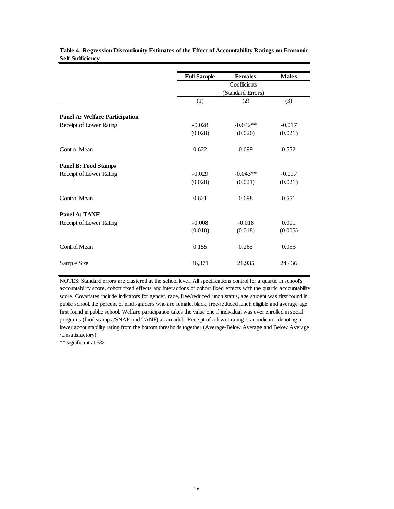|                                       | <b>Full Sample</b> | <b>Females</b>    | <b>Males</b> |
|---------------------------------------|--------------------|-------------------|--------------|
|                                       |                    | Coefficients      |              |
|                                       |                    | (Standard Errors) |              |
|                                       | (1)                | (2)               | (3)          |
| <b>Panel A: Welfare Participation</b> |                    |                   |              |
| Receipt of Lower Rating               | $-0.028$           | $-0.042**$        | $-0.017$     |
|                                       | (0.020)            | (0.020)           | (0.021)      |
| Control Mean                          | 0.622              | 0.699             | 0.552        |
| <b>Panel B: Food Stamps</b>           |                    |                   |              |
| Receipt of Lower Rating               | $-0.029$           | $-0.043**$        | $-0.017$     |
|                                       | (0.020)            | (0.021)           | (0.021)      |
| Control Mean                          | 0.621              | 0.698             | 0.551        |
| Panel A: TANF                         |                    |                   |              |
| Receipt of Lower Rating               | $-0.008$           | $-0.018$          | 0.001        |
|                                       | (0.010)            | (0.018)           | (0.005)      |
| Control Mean                          | 0.155              | 0.265             | 0.055        |
| Sample Size                           | 46,371             | 21,935            | 24,436       |

**Table 4: Regression Discontinuity Estimates of the Effect of Accountability Ratings on Economic Self-Sufficiency**

NOTES: Standard errors are clustered at the school level. All specifications control for a quartic in school's accountability score, cohort fixed effects and interactions of cohort fixed effects with the quartic accountability score. Covariates include indicators for gender, race, free/reduced lunch status, age student was first found in public school, the percent of ninth-graders who are female, black, free/reduced lunch eligible and average age first found in public school. Welfare participation takes the value one if individual was ever enrolled in social programs (food stamps /SNAP and TANF) as an adult. Receipt of a lower rating is an indicator denoting a lower accountability rating from the bottom thresholds together (Average/Below Average and Below Average /Unsatisfactory).

\*\* significant at 5%.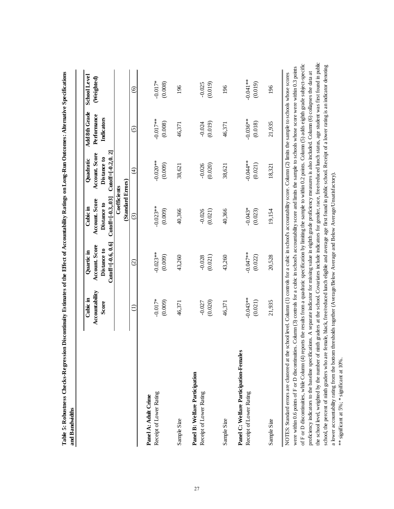|                                                                   | Cubic in                | Quartic in                                              | Cubic in                                                | Quadratic                                                | Add 8th Grade             | <b>School Level</b>   |
|-------------------------------------------------------------------|-------------------------|---------------------------------------------------------|---------------------------------------------------------|----------------------------------------------------------|---------------------------|-----------------------|
|                                                                   | Accountability<br>Score | $Cutoff = [-0.6, 0.6]$<br>Account. Score<br>Distance to | $Cutoff = [-0.3, .03]$<br>Account. Score<br>Distance to | $Cutoff = [-0.2, 0, 2]$<br>Account. Score<br>Distance to | Performance<br>Indicators | (Weighted)            |
|                                                                   |                         |                                                         | (Standard Errors)<br>Coefficients                       |                                                          |                           |                       |
|                                                                   | $\ominus$               | $\widehat{\circ}$                                       | $\widehat{\mathcal{O}}$                                 | $\widehat{f}$                                            | $\widetilde{S}$           | ତ୍ର                   |
| Receipt of Lower Rating<br>Panel A: Adult Crime                   | $-0.017*$<br>(0.009)    | $-0.023**$<br>(0.009)                                   | $-0.023**$<br>(0.009)                                   | $-0.020**$<br>(0.009)                                    | $-0.017**$<br>(0.008)     | $-0.017*$<br>(0.008)  |
| Sample Size                                                       | 46,371                  | 43,260                                                  | 40,366                                                  | 38,621                                                   | 46,371                    | 196                   |
| Panel B: Welfare Participation<br>Receipt of Lower Rating         | (0.020)<br>$-0.027$     | (0.021)<br>$-0.028$                                     | (0.021)<br>$-0.026$                                     | (0.020)<br>$-0.026$                                      | (0.019)<br>$-0.024$       | (0.019)<br>$-0.025$   |
| Sample Size                                                       | 46,371                  | 43,260                                                  | 40,366                                                  | 38,621                                                   | 46,371                    | 196                   |
| Panel C: Welfare Participation-Females<br>Receipt of Lower Rating | $-0.043**$<br>(0.021)   | $-0.047**$<br>(0.022)                                   | $-0.043*$<br>(0.023)                                    | $-0.044**$<br>(0.021)                                    | $-0.036**$<br>(0.018)     | $-0.041**$<br>(0.019) |
| Sample Size                                                       | 21,935                  | 20,528                                                  | 19,154                                                  | 18,321                                                   | 21,935                    | 196                   |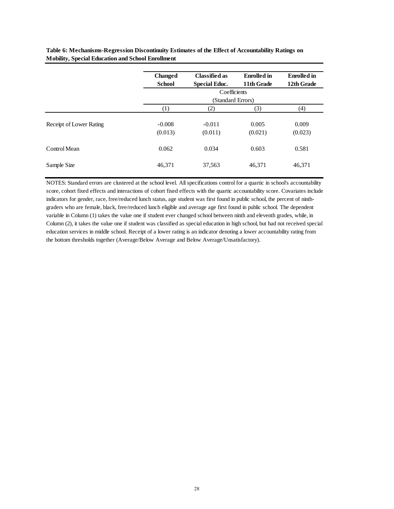|                         | <b>Changed</b>   | <b>Classified as</b> | <b>Enrolled</b> in | <b>Enrolled</b> in |
|-------------------------|------------------|----------------------|--------------------|--------------------|
|                         | <b>School</b>    | <b>Special Educ.</b> | 11th Grade         | 12th Grade         |
|                         |                  | Coefficients         |                    |                    |
|                         |                  | (Standard Errors)    |                    |                    |
|                         | $\left(1\right)$ | (2)                  | (3)                | (4)                |
|                         |                  |                      |                    |                    |
| Receipt of Lower Rating | $-0.008$         | $-0.011$             | 0.005              | 0.009              |
|                         | (0.013)          | (0.011)              | (0.021)            | (0.023)            |
|                         |                  |                      |                    |                    |
| Control Mean            | 0.062            | 0.034                | 0.603              | 0.581              |
|                         |                  |                      |                    |                    |
| Sample Size             | 46,371           | 37,563               | 46,371             | 46,371             |
|                         |                  |                      |                    |                    |

**Table 6: Mechanisms-Regression Discontinuity Estimates of the Effect of Accountability Ratings on Mobility, Special Education and School Enrollment**

NOTES: Standard errors are clustered at the school level. All specifications control for a quartic in school's accountability score, cohort fixed effects and interactions of cohort fixed effects with the quartic accountability score. Covariates include indicators for gender, race, free/reduced lunch status, age student was first found in public school, the percent of ninthgraders who are female, black, free/reduced lunch eligible and average age first found in public school. The dependent variable in Column (1) takes the value one if student ever changed school between ninth and eleventh grades, while, in Column (2), it takes the value one if student was classified as special education in high school, but had not received special education services in middle school. Receipt of a lower rating is an indicator denoting a lower accountability rating from the bottom thresholds together (Average/Below Average and Below Average/Unsatisfactory).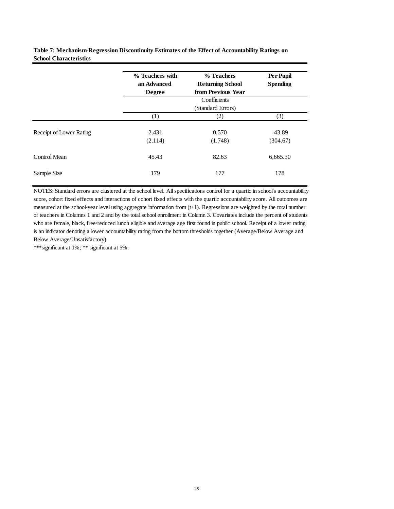**Table 7: Mechanism-Regression Discontinuity Estimates of the Effect of Accountability Ratings on School Characteristics**

|                         | % Teachers with<br>an Advanced<br>Degree | % Teachers<br><b>Returning School</b><br>from Previous Year | Per Pupil<br><b>Spending</b> |
|-------------------------|------------------------------------------|-------------------------------------------------------------|------------------------------|
|                         |                                          | Coefficients<br>(Standard Errors)                           |                              |
|                         | $\left(1\right)$                         | (2)                                                         | (3)                          |
| Receipt of Lower Rating | 2.431<br>(2.114)                         | 0.570<br>(1.748)                                            | $-43.89$<br>(304.67)         |
| Control Mean            | 45.43                                    | 82.63                                                       | 6,665.30                     |
| Sample Size             | 179                                      | 177                                                         | 178                          |

NOTES: Standard errors are clustered at the school level. All specifications control for a quartic in school's accountability score, cohort fixed effects and interactions of cohort fixed effects with the quartic accountability score. All outcomes are measured at the school-year level using aggregate information from (t+1). Regressions are weighted by the total number of teachers in Columns 1 and 2 and by the total school enrollment in Column 3. Covariates include the percent of students who are female, black, free/reduced lunch eligible and average age first found in public school. Receipt of a lower rating is an indicator denoting a lower accountability rating from the bottom thresholds together (Average/Below Average and Below Average/Unsatisfactory).

\*\*\*significant at 1%; \*\* significant at 5%.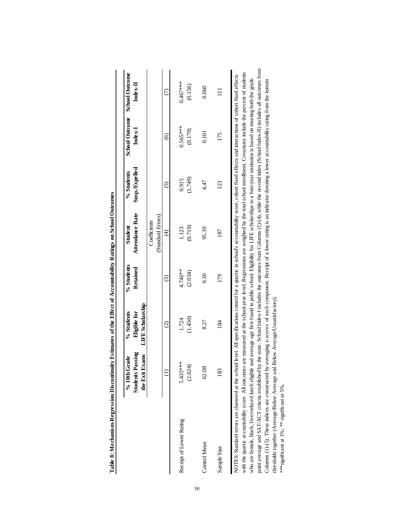|                                                                                                                                                                                                    | <b>Students Passing</b><br>$%10th$ Grade | Eligible for<br>% Students                                                                                                                | % Students<br>Retained | Attendance Rate<br>Student | Susp./Expelled<br>% Students | <b>School Outcome</b><br>Index-I | <b>School Outcome</b><br>Index-II |
|----------------------------------------------------------------------------------------------------------------------------------------------------------------------------------------------------|------------------------------------------|-------------------------------------------------------------------------------------------------------------------------------------------|------------------------|----------------------------|------------------------------|----------------------------------|-----------------------------------|
|                                                                                                                                                                                                    | the Exit Exams                           | <b>LIFE</b> Scholarship                                                                                                                   |                        |                            |                              |                                  |                                   |
|                                                                                                                                                                                                    |                                          |                                                                                                                                           |                        | Coefficients               |                              |                                  |                                   |
|                                                                                                                                                                                                    |                                          |                                                                                                                                           |                        | (Standard Errors)          |                              |                                  |                                   |
|                                                                                                                                                                                                    |                                          | $\widehat{c}$                                                                                                                             | ි                      | $\widehat{t}$              | $\widehat{\mathcal{O}}$      | $\circledcirc$                   | $\widehat{C}$                     |
| Receipt of Lower Rating                                                                                                                                                                            | 5.435***                                 | 1.724                                                                                                                                     | 4.746**                | 1.123                      | 0.915                        | 0.565***                         | $0.467***$                        |
|                                                                                                                                                                                                    | (2.024)                                  | (1.450)                                                                                                                                   | (2.034)                | (0.719)                    | (1.749)                      | (0.179)                          | (0.156)                           |
| Control Mean                                                                                                                                                                                       | 62.08                                    | 8.27                                                                                                                                      | 9.30                   | 95.39                      | 4.47                         | 0.101                            | 0.060                             |
| Sample Size                                                                                                                                                                                        | 183                                      | 184                                                                                                                                       | 179                    | 187                        | 123                          | 175                              | $\Xi$                             |
| NOTES: Standard errors are clustered at the school level. All specifications control for a quartic in school's accountability score, cohort fixed effects and interactions of cohort fixed effects |                                          |                                                                                                                                           |                        |                            |                              |                                  |                                   |
| with the quartic accountability score. All outcomes are                                                                                                                                            |                                          | measured at the school-year level. Regressions are weighted by the total school enrollment. Covariates include the percent of students    |                        |                            |                              |                                  |                                   |
| who are female, black, free/reduced lunch eligible and                                                                                                                                             |                                          | average age first found in public school. Eligibility for LIFE scholarships to a four-year institution is based on meeting both the grade |                        |                            |                              |                                  |                                   |
| point average and SAT/ACT criteria established by the                                                                                                                                              |                                          | state. School Index-I includes the outcomes from Columns (1)-(4), while the second index (School Index-II) includes all outcomes from     |                        |                            |                              |                                  |                                   |

Table 8: Mechanism-Regression Discontinuity Estimates of the Effect of Accountability Ratings on School Outcomes **Table 8: Mechanism-Regression Discontinuity Estimates of the Effect of Accountability Ratings on School Outcomes** Columns (1)-(5). These indices are constructed by averaging z-*scores* of each component. Receipt of a lower rating is an indicator denoting a lower accountability rating from the bottom<br>thresholds together (Average/Below Columns (1)-(5). These indices are constructed by averaging *z-scores* of each component. Receipt of a lower rating is an indicator denoting a lower accountability rating from the bottom

thresholds together (Average/Below Average and Below Average/Unsatisfactory).

\*\*\*significant at 1%; \*\* significant at 5%.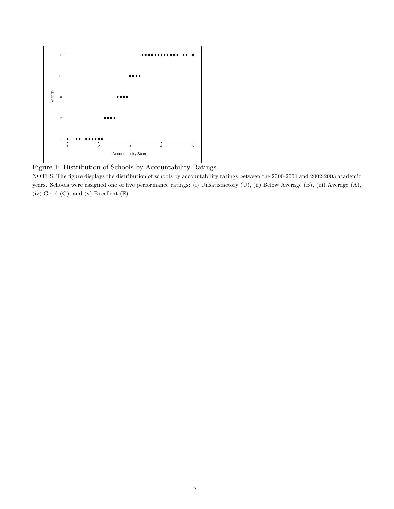

Figure 1: Distribution of Schools by Accountability Ratings

NOTES: The figure displays the distribution of schools by accountability ratings between the 2000-2001 and 2002-2003 academic years. Schools were assigned one of five performance ratings: (i) Unsatisfactory (U), (ii) Below Average (B), (iii) Average (A),  $(iv)$  Good  $(G)$ , and  $(v)$  Excellent  $(E)$ .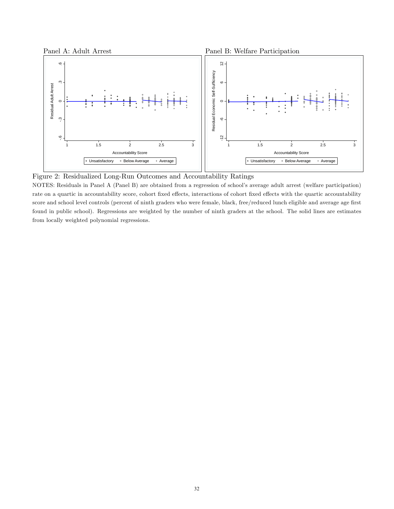

Figure 2: Residualized Long-Run Outcomes and Accountability Ratings

NOTES: Residuals in Panel A (Panel B) are obtained from a regression of school's average adult arrest (welfare participation) rate on a quartic in accountability score, cohort fixed effects, interactions of cohort fixed effects with the quartic accountability score and school level controls (percent of ninth graders who were female, black, free/reduced lunch eligible and average age first found in public school). Regressions are weighted by the number of ninth graders at the school. The solid lines are estimates from locally weighted polynomial regressions.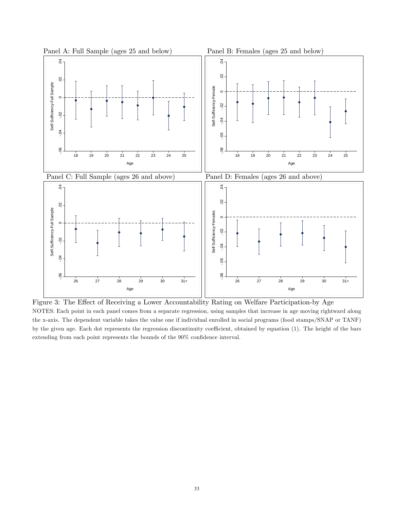

Figure 3: The Effect of Receiving a Lower Accountability Rating on Welfare Participation-by Age NOTES: Each point in each panel comes from a separate regression, using samples that increase in age moving rightward along the x-axis. The dependent variable takes the value one if individual enrolled in social programs (food stamps/SNAP or TANF) by the given age. Each dot represents the regression discontinuity coefficient, obtained by equation (1). The height of the bars extending from each point represents the bounds of the  $90\%$  confidence interval.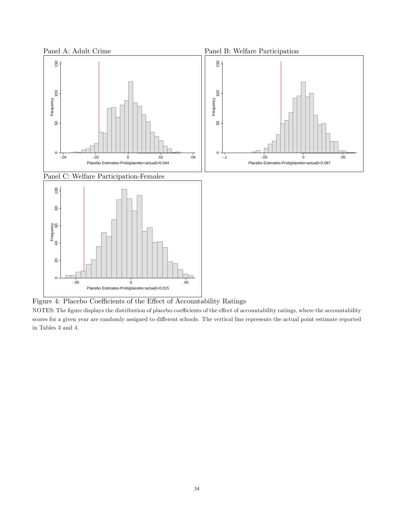

Figure 4: Placebo Coefficients of the Effect of Accountability Ratings

NOTES: The figure displays the distribution of placebo coefficients of the effect of accountability ratings, where the accountability scores for a given year are randomly assigned to different schools. The vertical line represents the actual point estimate reported in Tables 3 and 4.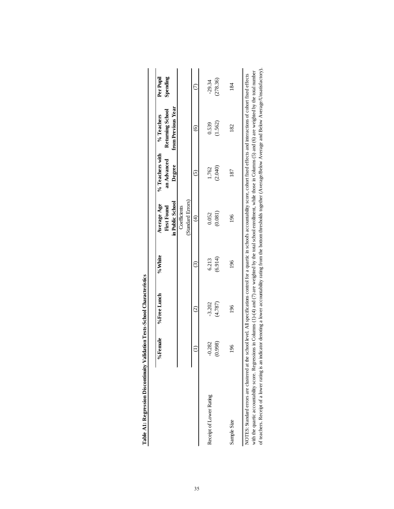|                         | %Female  | %Free Lunch       | %White  | in Public School<br>Average Age<br>First Found | % Teachers with<br>an Advanced<br>Degree | from Previous Year<br>Returning School<br>% Teachers | Per Pupil<br>Spending |
|-------------------------|----------|-------------------|---------|------------------------------------------------|------------------------------------------|------------------------------------------------------|-----------------------|
|                         |          |                   |         | (Standard Errors)<br>Coefficients              |                                          |                                                      |                       |
|                         |          | $\widehat{\circ}$ | ⊙ି      | $\widehat{E}$                                  | ତି                                       | ତି                                                   |                       |
| Receipt of Lower Rating | $-0.282$ | $-3.202$          | 6.213   | 0.052                                          | 1.762                                    | 0.539                                                | $-29.34$              |
|                         | 0.998    | (4.787)           | (6.914) | (0.081)                                        | (2.040)                                  | (1.562)                                              | (278.36)              |
| Sample Size             | 196      | 196               | 196     | 196                                            | 187                                      | 182                                                  | 184                   |

| j                                                           |
|-------------------------------------------------------------|
| I                                                           |
| ,,,,,                                                       |
| i                                                           |
| ١                                                           |
| ֖֖֖֖֖֧֖֧ׅ֖֖֖֖֧֧֪֪֪֪֪֪֪֪֪֪֧֖֚֚֚֚֚֚֚֚֚֚֚֚֚֚֚֚֚֚֚֚֚֚֚֚֚֡֝֝֝֓֞֝ |
| .<br>E<br>I                                                 |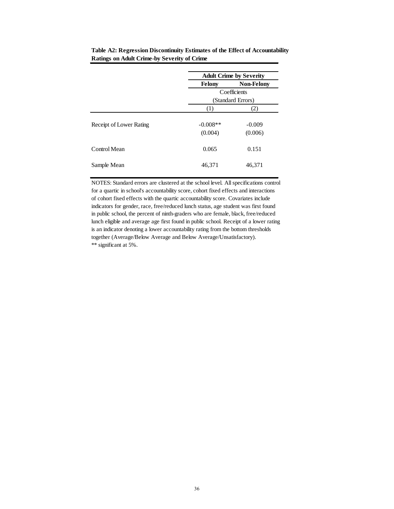|                       | <b>Adult Crime by Severity</b> |
|-----------------------|--------------------------------|
| <b>Felony</b>         | <b>Non-Felony</b>              |
|                       | Coefficients                   |
|                       | (Standard Errors)              |
| (1)                   | (2)                            |
| $-0.008**$<br>(0.004) | $-0.009$<br>(0.006)            |
| 0.065                 | 0.151                          |
| 46,371                | 46,371                         |
|                       |                                |

**Table A2: Regression Discontinuity Estimates of the Effect of Accountability Ratings on Adult Crime-by Severity of Crime**

NOTES: Standard errors are clustered at the school level. All specifications control for a quartic in school's accountability score, cohort fixed effects and interactions of cohort fixed effects with the quartic accountability score. Covariates include indicators for gender, race, free/reduced lunch status, age student was first found in public school, the percent of ninth-graders who are female, black, free/reduced lunch eligible and average age first found in public school. Receipt of a lower rating is an indicator denoting a lower accountability rating from the bottom thresholds together (Average/Below Average and Below Average/Unsatisfactory). \*\* significant at 5%.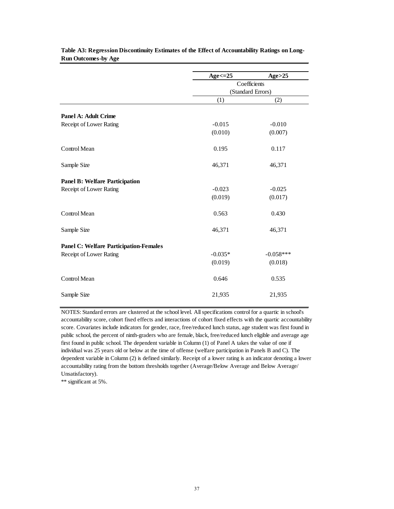|                                               | $Age \leq 25$ | Age > 25          |
|-----------------------------------------------|---------------|-------------------|
|                                               |               | Coefficients      |
|                                               |               | (Standard Errors) |
|                                               | (1)           | (2)               |
| <b>Panel A: Adult Crime</b>                   |               |                   |
| Receipt of Lower Rating                       | $-0.015$      | $-0.010$          |
|                                               | (0.010)       | (0.007)           |
| Control Mean                                  | 0.195         | 0.117             |
| Sample Size                                   | 46,371        | 46,371            |
| <b>Panel B: Welfare Participation</b>         |               |                   |
| Receipt of Lower Rating                       | $-0.023$      | $-0.025$          |
|                                               | (0.019)       | (0.017)           |
| Control Mean                                  | 0.563         | 0.430             |
| Sample Size                                   | 46,371        | 46,371            |
| <b>Panel C: Welfare Participation-Females</b> |               |                   |
| Receipt of Lower Rating                       | $-0.035*$     | $-0.058***$       |
|                                               | (0.019)       | (0.018)           |
| Control Mean                                  | 0.646         | 0.535             |
| Sample Size                                   | 21,935        | 21,935            |

**Table A3: Regression Discontinuity Estimates of the Effect of Accountability Ratings on Long-Run Outcomes-by Age**

NOTES: Standard errors are clustered at the school level. All specifications control for a quartic in school's accountability score, cohort fixed effects and interactions of cohort fixed effects with the quartic accountability score. Covariates include indicators for gender, race, free/reduced lunch status, age student was first found in public school, the percent of ninth-graders who are female, black, free/reduced lunch eligible and average age first found in public school. The dependent variable in Column (1) of Panel A takes the value of one if individual was 25 years old or below at the time of offense (welfare participation in Panels B and C). The dependent variable in Column (2) is defined similarly. Receipt of a lower rating is an indicator denoting a lower accountability rating from the bottom thresholds together (Average/Below Average and Below Average/ Unsatisfactory).

\*\* significant at 5%.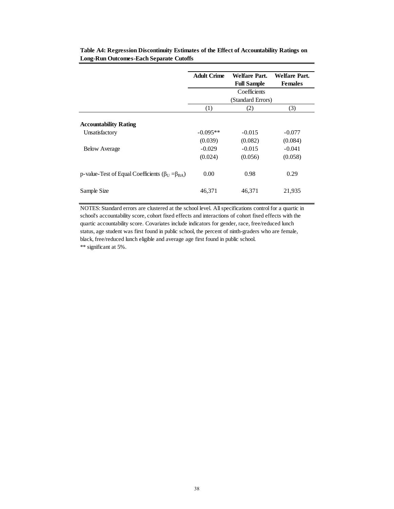|                                                                               | <b>Adult Crime</b> | Welfare Part.<br><b>Full Sample</b> | Welfare Part.<br><b>Females</b> |
|-------------------------------------------------------------------------------|--------------------|-------------------------------------|---------------------------------|
|                                                                               |                    | Coefficients                        |                                 |
|                                                                               | (Standard Errors)  |                                     |                                 |
|                                                                               | (1)                | (2)                                 | (3)                             |
| <b>Accountability Rating</b>                                                  |                    |                                     |                                 |
| Unsatisfactory                                                                | $-0.095**$         | $-0.015$                            | $-0.077$                        |
|                                                                               | (0.039)            | (0.082)                             | (0.084)                         |
| <b>Below Average</b>                                                          | $-0.029$           | $-0.015$                            | $-0.041$                        |
|                                                                               | (0.024)            | (0.056)                             | (0.058)                         |
| p-value-Test of Equal Coefficients ( $\beta_{\text{U}} = \beta_{\text{BA}}$ ) | 0.00               | 0.98                                | 0.29                            |
| Sample Size                                                                   | 46.371             | 46.371                              | 21,935                          |

**Table A4: Regression Discontinuity Estimates of the Effect of Accountability Ratings on Long-Run Outcomes-Each Separate Cutoffs**

NOTES: Standard errors are clustered at the school level. All specifications control for a quartic in school's accountability score, cohort fixed effects and interactions of cohort fixed effects with the quartic accountability score. Covariates include indicators for gender, race, free/reduced lunch status, age student was first found in public school, the percent of ninth-graders who are female, black, free/reduced lunch eligible and average age first found in public school. \*\* significant at 5%.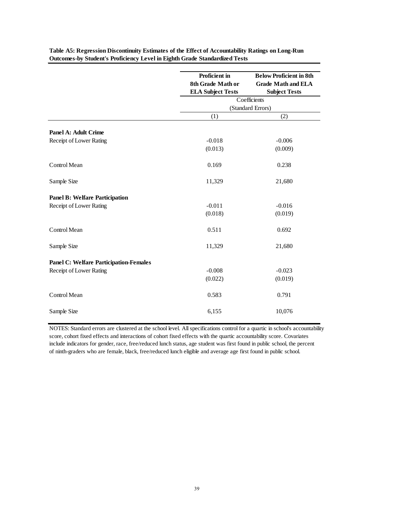|                                               | <b>Below Proficient in 8th</b><br><b>Proficient</b> in |                           |  |  |
|-----------------------------------------------|--------------------------------------------------------|---------------------------|--|--|
|                                               | 8th Grade Math or                                      |                           |  |  |
|                                               |                                                        | <b>Grade Math and ELA</b> |  |  |
|                                               | <b>ELA Subject Tests</b>                               | <b>Subject Tests</b>      |  |  |
|                                               | Coefficients                                           |                           |  |  |
|                                               |                                                        | (Standard Errors)         |  |  |
|                                               | (1)                                                    | (2)                       |  |  |
|                                               |                                                        |                           |  |  |
| Panel A: Adult Crime                          |                                                        |                           |  |  |
| Receipt of Lower Rating                       | $-0.018$                                               | $-0.006$                  |  |  |
|                                               | (0.013)                                                | (0.009)                   |  |  |
| Control Mean                                  | 0.169                                                  | 0.238                     |  |  |
| Sample Size                                   | 11,329                                                 | 21,680                    |  |  |
| <b>Panel B: Welfare Participation</b>         |                                                        |                           |  |  |
| Receipt of Lower Rating                       | $-0.011$                                               | $-0.016$                  |  |  |
|                                               | (0.018)                                                | (0.019)                   |  |  |
| Control Mean                                  | 0.511                                                  | 0.692                     |  |  |
| Sample Size                                   | 11,329                                                 | 21,680                    |  |  |
| <b>Panel C: Welfare Participation-Females</b> |                                                        |                           |  |  |
| Receipt of Lower Rating                       | $-0.008$                                               | $-0.023$                  |  |  |
|                                               | (0.022)                                                | (0.019)                   |  |  |
| Control Mean                                  | 0.583                                                  | 0.791                     |  |  |
| Sample Size                                   | 6,155                                                  | 10,076                    |  |  |

**Table A5: Regression Discontinuity Estimates of the Effect of Accountability Ratings on Long-Run Outcomes-by Student's Proficiency Level in Eighth Grade Standardized Tests**

NOTES: Standard errors are clustered at the school level. All specifications control for a quartic in school's accountability score, cohort fixed effects and interactions of cohort fixed effects with the quartic accountability score. Covariates include indicators for gender, race, free/reduced lunch status, age student was first found in public school, the percent of ninth-graders who are female, black, free/reduced lunch eligible and average age first found in public school.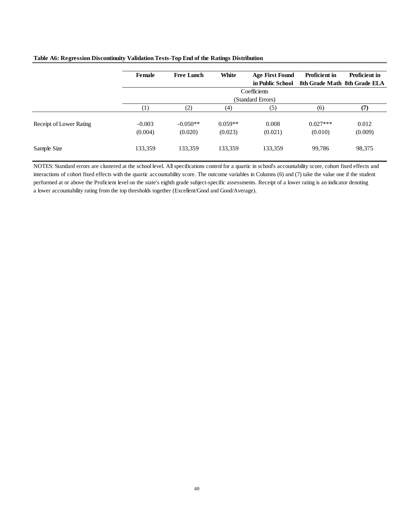|                         | <b>Female</b>       | <b>Free Lunch</b>     | White                | <b>Age First Found</b> | <b>Proficient in</b>  | <b>Proficient in</b>         |
|-------------------------|---------------------|-----------------------|----------------------|------------------------|-----------------------|------------------------------|
|                         |                     |                       |                      | in Public School       |                       | 8th Grade Math 8th Grade ELA |
|                         |                     | Coefficients          |                      |                        |                       |                              |
|                         |                     | (Standard Errors)     |                      |                        |                       |                              |
|                         | $\left(1\right)$    | (2)                   | (4)                  | (5)                    | (6)                   | (7)                          |
| Receipt of Lower Rating | $-0.003$<br>(0.004) | $-0.050**$<br>(0.020) | $0.059**$<br>(0.023) | 0.008<br>(0.021)       | $0.027***$<br>(0.010) | 0.012<br>(0.009)             |
| Sample Size             | 133,359             | 133,359               | 133,359              | 133,359                | 99,786                | 98,375                       |

#### **Table A6: Regression Discontinuity Validation Tests-Top End of the Ratings Distribution**

NOTES: Standard errors are clustered at the school level. All specifications control for a quartic in school's accountability score, cohort fixed effects and interactions of cohort fixed effects with the quartic accountability score. The outcome variables in Columns (6) and (7) take the value one if the student performed at or above the Proficient level on the state's eighth grade subject-specific assessments. Receipt of a lower rating is an indicator denoting a lower accountability rating from the top thresholds together (Excellent/Good and Good/Average).